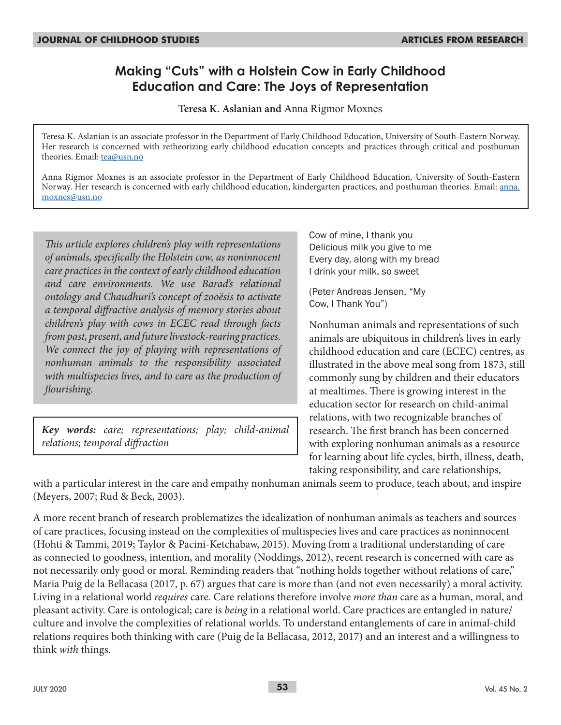# **Making "Cuts" with a Holstein Cow in Early Childhood Education and Care: The Joys of Representation**

**Teresa K. Aslanian and** Anna Rigmor Moxnes

Teresa K. Aslanian is an associate professor in the Department of Early Childhood Education, University of South-Eastern Norway. Her research is concerned with retheorizing early childhood education concepts and practices through critical and posthuman theories. Email: tea@usn.no

Anna Rigmor Moxnes is an associate professor in the Department of Early Childhood Education, University of South-Eastern Norway. Her research is concerned with early childhood education, kindergarten practices, and posthuman theories. Email: anna. moxnes@usn.no

*This article explores children's play with representations of animals, specifically the Holstein cow, as noninnocent care practices in the context of early childhood education and care environments. We use Barad's relational ontology and Chaudhuri's concept of zooësis to activate a temporal diffractive analysis of memory stories about children's play with cows in ECEC read through facts from past, present, and future livestock-rearing practices. We connect the joy of playing with representations of nonhuman animals to the responsibility associated with multispecies lives, and to care as the production of flourishing.*

*Key words: care; representations; play; child-animal relations; temporal diffraction*

Cow of mine, I thank you Delicious milk you give to me Every day, along with my bread I drink your milk, so sweet

(Peter Andreas Jensen, "My Cow, I Thank You")

Nonhuman animals and representations of such animals are ubiquitous in children's lives in early childhood education and care (ECEC) centres, as illustrated in the above meal song from 1873, still commonly sung by children and their educators at mealtimes. There is growing interest in the education sector for research on child-animal relations, with two recognizable branches of research. The first branch has been concerned with exploring nonhuman animals as a resource for learning about life cycles, birth, illness, death, taking responsibility, and care relationships,

with a particular interest in the care and empathy nonhuman animals seem to produce, teach about, and inspire (Meyers, 2007; Rud & Beck, 2003).

A more recent branch of research problematizes the idealization of nonhuman animals as teachers and sources of care practices, focusing instead on the complexities of multispecies lives and care practices as noninnocent (Hohti & Tammi, 2019; Taylor & Pacini-Ketchabaw, 2015). Moving from a traditional understanding of care as connected to goodness, intention, and morality (Noddings, 2012), recent research is concerned with care as not necessarily only good or moral. Reminding readers that "nothing holds together without relations of care," Maria Puig de la Bellacasa (2017, p. 67) argues that care is more than (and not even necessarily) a moral activity. Living in a relational world *requires* care*.* Care relations therefore involve *more than* care as a human, moral, and pleasant activity. Care is ontological; care is *being* in a relational world. Care practices are entangled in nature/ culture and involve the complexities of relational worlds. To understand entanglements of care in animal-child relations requires both thinking with care (Puig de la Bellacasa, 2012, 2017) and an interest and a willingness to think *with* things.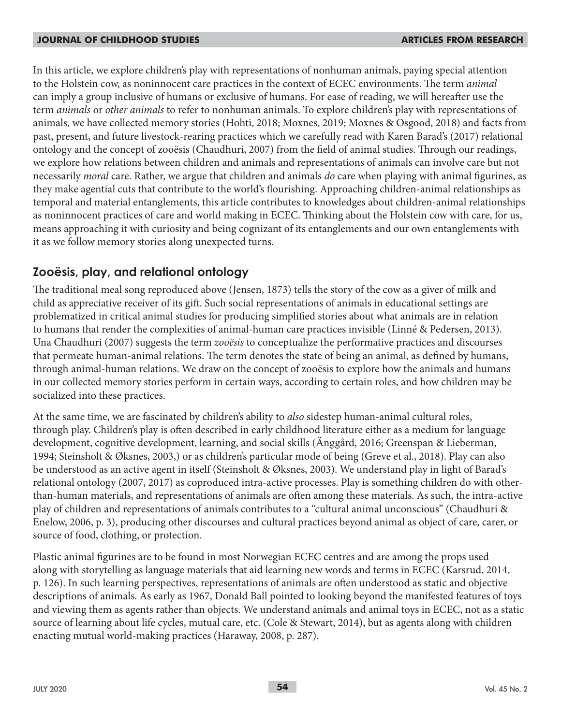In this article, we explore children's play with representations of nonhuman animals, paying special attention to the Holstein cow, as noninnocent care practices in the context of ECEC environments. The term *animal* can imply a group inclusive of humans or exclusive of humans. For ease of reading, we will hereafter use the term *animals* or *other animals* to refer to nonhuman animals. To explore children's play with representations of animals, we have collected memory stories (Hohti, 2018; Moxnes, 2019; Moxnes & Osgood, 2018) and facts from past, present, and future livestock-rearing practices which we carefully read with Karen Barad's (2017) relational ontology and the concept of zooësis (Chaudhuri, 2007) from the field of animal studies. Through our readings, we explore how relations between children and animals and representations of animals can involve care but not necessarily *moral* care. Rather, we argue that children and animals *do* care when playing with animal figurines, as they make agential cuts that contribute to the world's flourishing. Approaching children-animal relationships as temporal and material entanglements, this article contributes to knowledges about children-animal relationships as noninnocent practices of care and world making in ECEC. Thinking about the Holstein cow with care, for us, means approaching it with curiosity and being cognizant of its entanglements and our own entanglements with it as we follow memory stories along unexpected turns.

## **Zooësis, play, and relational ontology**

The traditional meal song reproduced above (Jensen, 1873) tells the story of the cow as a giver of milk and child as appreciative receiver of its gift. Such social representations of animals in educational settings are problematized in critical animal studies for producing simplified stories about what animals are in relation to humans that render the complexities of animal-human care practices invisible (Linné & Pedersen, 2013). Una Chaudhuri (2007) suggests the term *zooësis* to conceptualize the performative practices and discourses that permeate human-animal relations. The term denotes the state of being an animal, as defined by humans, through animal-human relations. We draw on the concept of zooësis to explore how the animals and humans in our collected memory stories perform in certain ways, according to certain roles, and how children may be socialized into these practices.

At the same time, we are fascinated by children's ability to *also* sidestep human-animal cultural roles, through play. Children's play is often described in early childhood literature either as a medium for language development, cognitive development, learning, and social skills (Änggård, 2016; Greenspan & Lieberman, 1994; Steinsholt & Øksnes, 2003,) or as children's particular mode of being (Greve et al., 2018). Play can also be understood as an active agent in itself (Steinsholt & Øksnes, 2003). We understand play in light of Barad's relational ontology (2007, 2017) as coproduced intra-active processes. Play is something children do with otherthan-human materials, and representations of animals are often among these materials. As such, the intra-active play of children and representations of animals contributes to a "cultural animal unconscious" (Chaudhuri & Enelow, 2006, p. 3), producing other discourses and cultural practices beyond animal as object of care, carer, or source of food, clothing, or protection.

Plastic animal figurines are to be found in most Norwegian ECEC centres and are among the props used along with storytelling as language materials that aid learning new words and terms in ECEC (Karsrud, 2014, p. 126). In such learning perspectives, representations of animals are often understood as static and objective descriptions of animals. As early as 1967, Donald Ball pointed to looking beyond the manifested features of toys and viewing them as agents rather than objects. We understand animals and animal toys in ECEC, not as a static source of learning about life cycles, mutual care, etc. (Cole & Stewart, 2014), but as agents along with children enacting mutual world-making practices (Haraway, 2008, p. 287).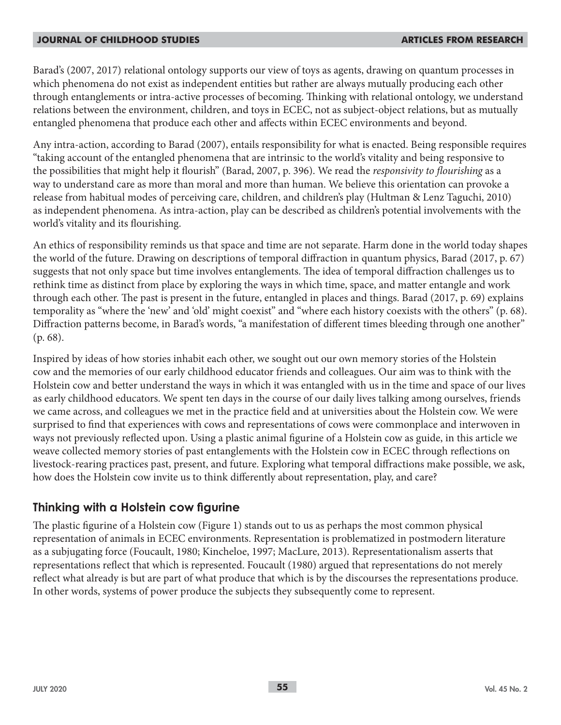Barad's (2007, 2017) relational ontology supports our view of toys as agents, drawing on quantum processes in which phenomena do not exist as independent entities but rather are always mutually producing each other through entanglements or intra-active processes of becoming. Thinking with relational ontology, we understand relations between the environment, children, and toys in ECEC, not as subject-object relations, but as mutually entangled phenomena that produce each other and affects within ECEC environments and beyond.

Any intra-action, according to Barad (2007), entails responsibility for what is enacted. Being responsible requires "taking account of the entangled phenomena that are intrinsic to the world's vitality and being responsive to the possibilities that might help it flourish" (Barad, 2007, p. 396). We read the *responsivity to flourishing* as a way to understand care as more than moral and more than human. We believe this orientation can provoke a release from habitual modes of perceiving care, children, and children's play (Hultman & Lenz Taguchi, 2010) as independent phenomena. As intra-action, play can be described as children's potential involvements with the world's vitality and its flourishing.

An ethics of responsibility reminds us that space and time are not separate. Harm done in the world today shapes the world of the future. Drawing on descriptions of temporal diffraction in quantum physics, Barad (2017, p. 67) suggests that not only space but time involves entanglements. The idea of temporal diffraction challenges us to rethink time as distinct from place by exploring the ways in which time, space, and matter entangle and work through each other. The past is present in the future, entangled in places and things. Barad (2017, p. 69) explains temporality as "where the 'new' and 'old' might coexist" and "where each history coexists with the others" (p. 68). Diffraction patterns become, in Barad's words, "a manifestation of different times bleeding through one another" (p. 68).

Inspired by ideas of how stories inhabit each other, we sought out our own memory stories of the Holstein cow and the memories of our early childhood educator friends and colleagues. Our aim was to think with the Holstein cow and better understand the ways in which it was entangled with us in the time and space of our lives as early childhood educators. We spent ten days in the course of our daily lives talking among ourselves, friends we came across, and colleagues we met in the practice field and at universities about the Holstein cow. We were surprised to find that experiences with cows and representations of cows were commonplace and interwoven in ways not previously reflected upon. Using a plastic animal figurine of a Holstein cow as guide, in this article we weave collected memory stories of past entanglements with the Holstein cow in ECEC through reflections on livestock-rearing practices past, present, and future. Exploring what temporal diffractions make possible, we ask, how does the Holstein cow invite us to think differently about representation, play, and care?

## **Thinking with a Holstein cow figurine**

The plastic figurine of a Holstein cow (Figure 1) stands out to us as perhaps the most common physical representation of animals in ECEC environments. Representation is problematized in postmodern literature as a subjugating force (Foucault, 1980; Kincheloe, 1997; MacLure, 2013). Representationalism asserts that representations reflect that which is represented. Foucault (1980) argued that representations do not merely reflect what already is but are part of what produce that which is by the discourses the representations produce. In other words, systems of power produce the subjects they subsequently come to represent.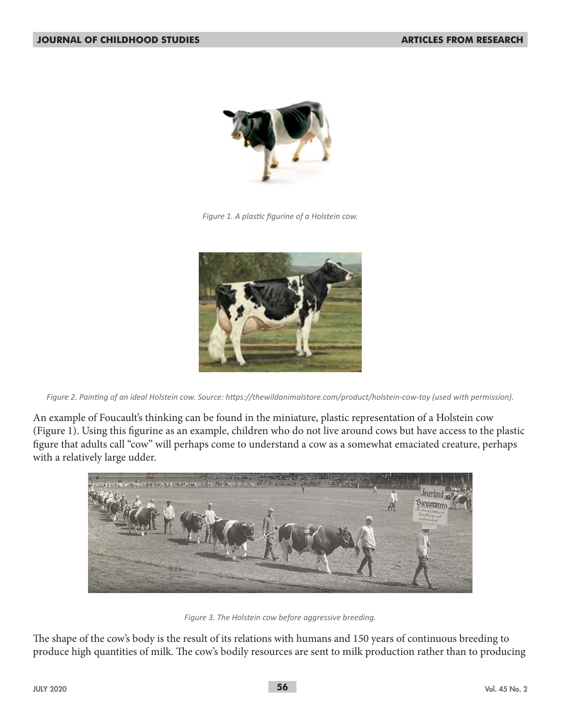

*Figure 1. A plastic figurine of a Holstein cow.*



*Figure 2. Painting of an ideal Holstein cow. Source: https://thewildanimalstore.com/product/holstein-cow-toy (used with permission).*

An example of Foucault's thinking can be found in the miniature, plastic representation of a Holstein cow (Figure 1). Using this figurine as an example, children who do not live around cows but have access to the plastic figure that adults call "cow" will perhaps come to understand a cow as a somewhat emaciated creature, perhaps with a relatively large udder.



*Figure 3. The Holstein cow before aggressive breeding.*

The shape of the cow's body is the result of its relations with humans and 150 years of continuous breeding to produce high quantities of milk. The cow's bodily resources are sent to milk production rather than to producing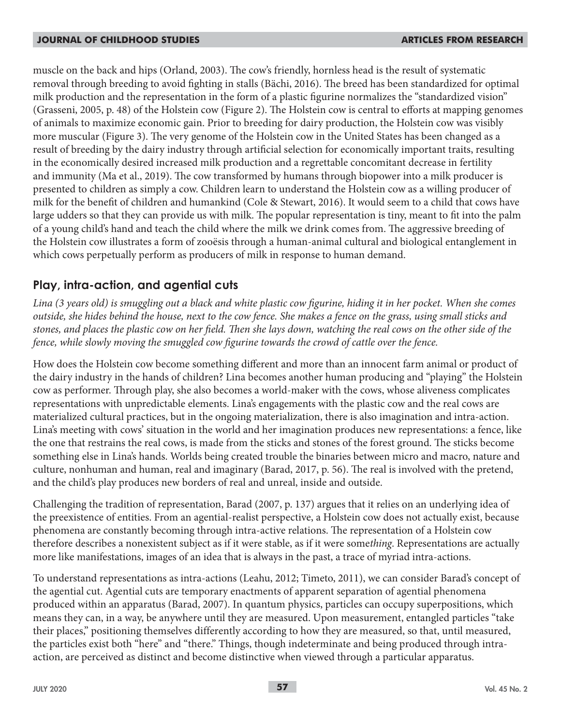muscle on the back and hips (Orland, 2003). The cow's friendly, hornless head is the result of systematic removal through breeding to avoid fighting in stalls (Bächi, 2016). The breed has been standardized for optimal milk production and the representation in the form of a plastic figurine normalizes the "standardized vision" (Grasseni, 2005, p. 48) of the Holstein cow (Figure 2). The Holstein cow is central to efforts at mapping genomes of animals to maximize economic gain. Prior to breeding for dairy production, the Holstein cow was visibly more muscular (Figure 3). The very genome of the Holstein cow in the United States has been changed as a result of breeding by the dairy industry through artificial selection for economically important traits, resulting in the economically desired increased milk production and a regrettable concomitant decrease in fertility and immunity (Ma et al., 2019). The cow transformed by humans through biopower into a milk producer is presented to children as simply a cow. Children learn to understand the Holstein cow as a willing producer of milk for the benefit of children and humankind (Cole & Stewart, 2016). It would seem to a child that cows have large udders so that they can provide us with milk. The popular representation is tiny, meant to fit into the palm of a young child's hand and teach the child where the milk we drink comes from. The aggressive breeding of the Holstein cow illustrates a form of zooësis through a human-animal cultural and biological entanglement in which cows perpetually perform as producers of milk in response to human demand.

## **Play, intra-action, and agential cuts**

Lina (3 years old) is smuggling out a black and white plastic cow figurine, hiding it in her pocket. When she comes *outside, she hides behind the house, next to the cow fence. She makes a fence on the grass, using small sticks and stones, and places the plastic cow on her field. Then she lays down, watching the real cows on the other side of the fence, while slowly moving the smuggled cow figurine towards the crowd of cattle over the fence.*

How does the Holstein cow become something different and more than an innocent farm animal or product of the dairy industry in the hands of children? Lina becomes another human producing and "playing" the Holstein cow as performer. Through play, she also becomes a world-maker with the cows, whose aliveness complicates representations with unpredictable elements. Lina's engagements with the plastic cow and the real cows are materialized cultural practices, but in the ongoing materialization, there is also imagination and intra-action. Lina's meeting with cows' situation in the world and her imagination produces new representations: a fence, like the one that restrains the real cows, is made from the sticks and stones of the forest ground. The sticks become something else in Lina's hands. Worlds being created trouble the binaries between micro and macro, nature and culture, nonhuman and human, real and imaginary (Barad, 2017, p. 56). The real is involved with the pretend, and the child's play produces new borders of real and unreal, inside and outside.

Challenging the tradition of representation, Barad (2007, p. 137) argues that it relies on an underlying idea of the preexistence of entities. From an agential-realist perspective, a Holstein cow does not actually exist, because phenomena are constantly becoming through intra-active relations. The representation of a Holstein cow therefore describes a nonexistent subject as if it were stable, as if it were some*thing*. Representations are actually more like manifestations, images of an idea that is always in the past, a trace of myriad intra-actions.

To understand representations as intra-actions (Leahu, 2012; Timeto, 2011), we can consider Barad's concept of the agential cut. Agential cuts are temporary enactments of apparent separation of agential phenomena produced within an apparatus (Barad, 2007). In quantum physics, particles can occupy superpositions, which means they can, in a way, be anywhere until they are measured. Upon measurement, entangled particles "take their places," positioning themselves differently according to how they are measured, so that, until measured, the particles exist both "here" and "there." Things, though indeterminate and being produced through intraaction, are perceived as distinct and become distinctive when viewed through a particular apparatus.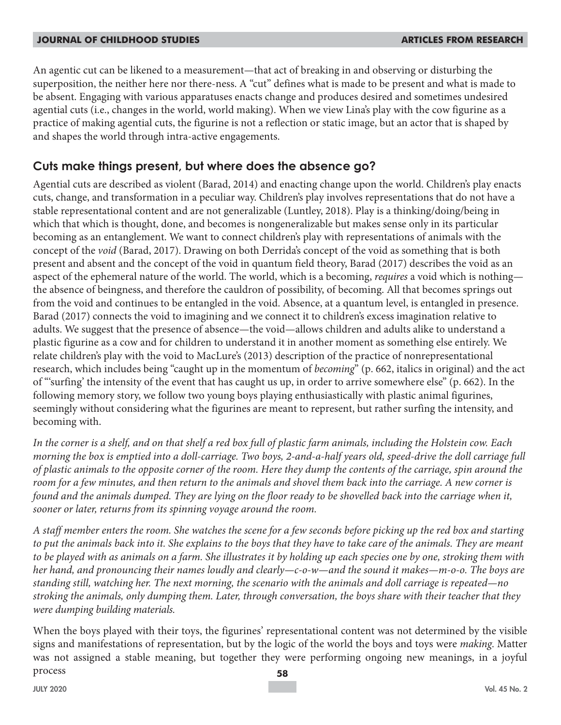An agentic cut can be likened to a measurement—that act of breaking in and observing or disturbing the superposition, the neither here nor there-ness. A "cut" defines what is made to be present and what is made to be absent. Engaging with various apparatuses enacts change and produces desired and sometimes undesired agential cuts (i.e., changes in the world, world making). When we view Lina's play with the cow figurine as a practice of making agential cuts, the figurine is not a reflection or static image, but an actor that is shaped by and shapes the world through intra-active engagements.

## **Cuts make things present, but where does the absence go?**

Agential cuts are described as violent (Barad, 2014) and enacting change upon the world. Children's play enacts cuts, change, and transformation in a peculiar way. Children's play involves representations that do not have a stable representational content and are not generalizable (Luntley, 2018). Play is a thinking/doing/being in which that which is thought, done, and becomes is nongeneralizable but makes sense only in its particular becoming as an entanglement. We want to connect children's play with representations of animals with the concept of the *void* (Barad, 2017). Drawing on both Derrida's concept of the void as something that is both present and absent and the concept of the void in quantum field theory, Barad (2017) describes the void as an aspect of the ephemeral nature of the world. The world, which is a becoming, *requires* a void which is nothing the absence of beingness, and therefore the cauldron of possibility, of becoming. All that becomes springs out from the void and continues to be entangled in the void. Absence, at a quantum level, is entangled in presence. Barad (2017) connects the void to imagining and we connect it to children's excess imagination relative to adults. We suggest that the presence of absence—the void—allows children and adults alike to understand a plastic figurine as a cow and for children to understand it in another moment as something else entirely. We relate children's play with the void to MacLure's (2013) description of the practice of nonrepresentational research, which includes being "caught up in the momentum of *becoming*" (p. 662, italics in original) and the act of "'surfing' the intensity of the event that has caught us up, in order to arrive somewhere else" (p. 662). In the following memory story, we follow two young boys playing enthusiastically with plastic animal figurines, seemingly without considering what the figurines are meant to represent, but rather surfing the intensity, and becoming with.

*In the corner is a shelf, and on that shelf a red box full of plastic farm animals, including the Holstein cow. Each morning the box is emptied into a doll-carriage. Two boys, 2-and-a-half years old, speed-drive the doll carriage full of plastic animals to the opposite corner of the room. Here they dump the contents of the carriage, spin around the room for a few minutes, and then return to the animals and shovel them back into the carriage. A new corner is found and the animals dumped. They are lying on the floor ready to be shovelled back into the carriage when it, sooner or later, returns from its spinning voyage around the room.* 

*A staff member enters the room. She watches the scene for a few seconds before picking up the red box and starting to put the animals back into it. She explains to the boys that they have to take care of the animals. They are meant to be played with as animals on a farm. She illustrates it by holding up each species one by one, stroking them with her hand, and pronouncing their names loudly and clearly—c-o-w—and the sound it makes—m-o-o. The boys are standing still, watching her. The next morning, the scenario with the animals and doll carriage is repeated—no stroking the animals, only dumping them. Later, through conversation, the boys share with their teacher that they were dumping building materials.*

When the boys played with their toys, the figurines' representational content was not determined by the visible signs and manifestations of representation, but by the logic of the world the boys and toys were *making*. Matter was not assigned a stable meaning, but together they were performing ongoing new meanings, in a joyful process **58**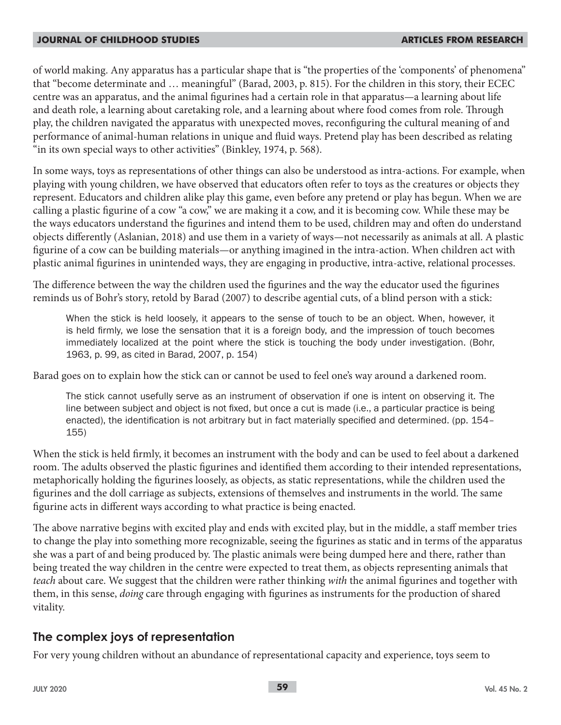of world making. Any apparatus has a particular shape that is "the properties of the 'components' of phenomena" that "become determinate and … meaningful" (Barad, 2003, p. 815). For the children in this story, their ECEC centre was an apparatus, and the animal figurines had a certain role in that apparatus*—*a learning about life and death role, a learning about caretaking role, and a learning about where food comes from role. Through play, the children navigated the apparatus with unexpected moves, reconfiguring the cultural meaning of and performance of animal-human relations in unique and fluid ways. Pretend play has been described as relating "in its own special ways to other activities" (Binkley, 1974, p. 568).

In some ways, toys as representations of other things can also be understood as intra-actions. For example, when playing with young children, we have observed that educators often refer to toys as the creatures or objects they represent. Educators and children alike play this game, even before any pretend or play has begun. When we are calling a plastic figurine of a cow "a cow," we are making it a cow, and it is becoming cow. While these may be the ways educators understand the figurines and intend them to be used, children may and often do understand objects differently (Aslanian, 2018) and use them in a variety of ways*—*not necessarily as animals at all. A plastic figurine of a cow can be building materials*—*or anything imagined in the intra-action. When children act with plastic animal figurines in unintended ways, they are engaging in productive, intra-active, relational processes.

The difference between the way the children used the figurines and the way the educator used the figurines reminds us of Bohr's story, retold by Barad (2007) to describe agential cuts, of a blind person with a stick:

When the stick is held loosely, it appears to the sense of touch to be an object. When, however, it is held firmly, we lose the sensation that it is a foreign body, and the impression of touch becomes immediately localized at the point where the stick is touching the body under investigation. (Bohr, 1963, p. 99, as cited in Barad, 2007, p. 154)

Barad goes on to explain how the stick can or cannot be used to feel one's way around a darkened room.

The stick cannot usefully serve as an instrument of observation if one is intent on observing it. The line between subject and object is not fixed, but once a cut is made (i.e., a particular practice is being enacted), the identification is not arbitrary but in fact materially specified and determined. (pp. 154– 155)

When the stick is held firmly, it becomes an instrument with the body and can be used to feel about a darkened room. The adults observed the plastic figurines and identified them according to their intended representations, metaphorically holding the figurines loosely, as objects, as static representations, while the children used the figurines and the doll carriage as subjects, extensions of themselves and instruments in the world. The same figurine acts in different ways according to what practice is being enacted.

The above narrative begins with excited play and ends with excited play, but in the middle, a staff member tries to change the play into something more recognizable, seeing the figurines as static and in terms of the apparatus she was a part of and being produced by. The plastic animals were being dumped here and there, rather than being treated the way children in the centre were expected to treat them, as objects representing animals that *teach* about care. We suggest that the children were rather thinking *with* the animal figurines and together with them, in this sense, *doing* care through engaging with figurines as instruments for the production of shared vitality.

## **The complex joys of representation**

For very young children without an abundance of representational capacity and experience, toys seem to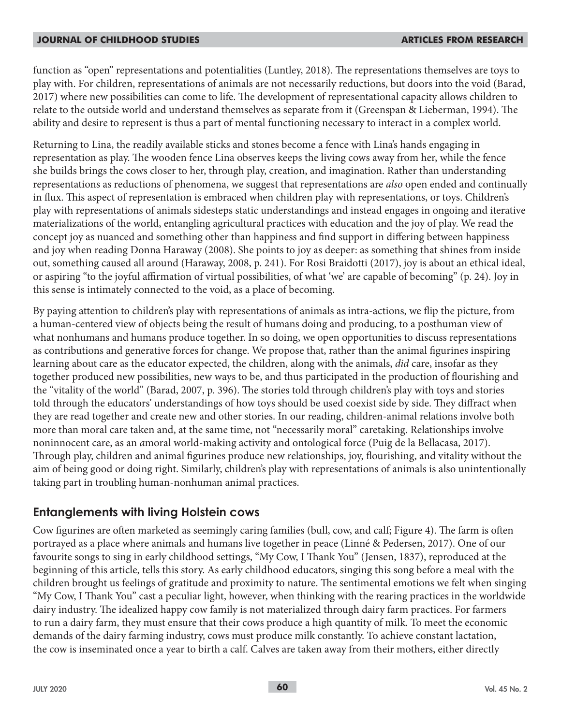function as "open" representations and potentialities (Luntley, 2018). The representations themselves are toys to play with. For children, representations of animals are not necessarily reductions, but doors into the void (Barad, 2017) where new possibilities can come to life. The development of representational capacity allows children to relate to the outside world and understand themselves as separate from it (Greenspan & Lieberman, 1994). The ability and desire to represent is thus a part of mental functioning necessary to interact in a complex world.

Returning to Lina, the readily available sticks and stones become a fence with Lina's hands engaging in representation as play. The wooden fence Lina observes keeps the living cows away from her, while the fence she builds brings the cows closer to her, through play, creation, and imagination. Rather than understanding representations as reductions of phenomena, we suggest that representations are *also* open ended and continually in flux. This aspect of representation is embraced when children play with representations, or toys. Children's play with representations of animals sidesteps static understandings and instead engages in ongoing and iterative materializations of the world, entangling agricultural practices with education and the joy of play. We read the concept joy as nuanced and something other than happiness and find support in differing between happiness and joy when reading Donna Haraway (2008). She points to joy as deeper: as something that shines from inside out, something caused all around (Haraway, 2008, p. 241). For Rosi Braidotti (2017), joy is about an ethical ideal, or aspiring "to the joyful affirmation of virtual possibilities, of what 'we' are capable of becoming" (p. 24). Joy in this sense is intimately connected to the void, as a place of becoming.

By paying attention to children's play with representations of animals as intra-actions, we flip the picture, from a human-centered view of objects being the result of humans doing and producing, to a posthuman view of what nonhumans and humans produce together. In so doing, we open opportunities to discuss representations as contributions and generative forces for change. We propose that, rather than the animal figurines inspiring learning about care as the educator expected, the children, along with the animals, *did* care, insofar as they together produced new possibilities, new ways to be, and thus participated in the production of flourishing and the "vitality of the world" (Barad, 2007, p. 396). The stories told through children's play with toys and stories told through the educators' understandings of how toys should be used coexist side by side. They diffract when they are read together and create new and other stories. In our reading, children-animal relations involve both more than moral care taken and, at the same time, not "necessarily moral" caretaking. Relationships involve noninnocent care, as an *a*moral world-making activity and ontological force (Puig de la Bellacasa, 2017). Through play, children and animal figurines produce new relationships, joy, flourishing, and vitality without the aim of being good or doing right. Similarly, children's play with representations of animals is also unintentionally taking part in troubling human-nonhuman animal practices.

## **Entanglements with living Holstein cows**

Cow figurines are often marketed as seemingly caring families (bull, cow, and calf; Figure 4). The farm is often portrayed as a place where animals and humans live together in peace (Linné & Pedersen, 2017). One of our favourite songs to sing in early childhood settings, "My Cow, I Thank You" (Jensen, 1837), reproduced at the beginning of this article, tells this story. As early childhood educators, singing this song before a meal with the children brought us feelings of gratitude and proximity to nature. The sentimental emotions we felt when singing "My Cow, I Thank You" cast a peculiar light, however, when thinking with the rearing practices in the worldwide dairy industry. The idealized happy cow family is not materialized through dairy farm practices. For farmers to run a dairy farm, they must ensure that their cows produce a high quantity of milk. To meet the economic demands of the dairy farming industry, cows must produce milk constantly. To achieve constant lactation, the cow is inseminated once a year to birth a calf. Calves are taken away from their mothers, either directly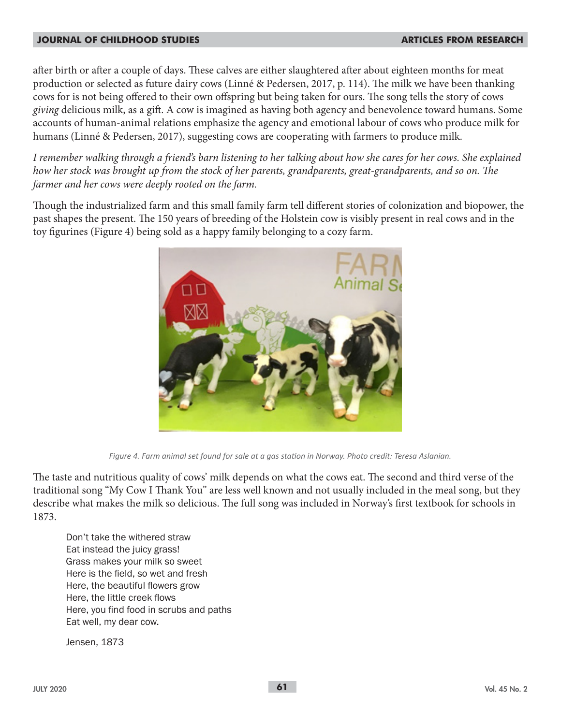after birth or after a couple of days. These calves are either slaughtered after about eighteen months for meat production or selected as future dairy cows (Linné & Pedersen, 2017, p. 114). The milk we have been thanking cows for is not being offered to their own offspring but being taken for ours. The song tells the story of cows *giving* delicious milk, as a gift. A cow is imagined as having both agency and benevolence toward humans. Some accounts of human-animal relations emphasize the agency and emotional labour of cows who produce milk for humans (Linné & Pedersen, 2017), suggesting cows are cooperating with farmers to produce milk.

*I remember walking through a friend's barn listening to her talking about how she cares for her cows. She explained how her stock was brought up from the stock of her parents, grandparents, great-grandparents, and so on. The farmer and her cows were deeply rooted on the farm.*

Though the industrialized farm and this small family farm tell different stories of colonization and biopower, the past shapes the present. The 150 years of breeding of the Holstein cow is visibly present in real cows and in the toy figurines (Figure 4) being sold as a happy family belonging to a cozy farm.



*Figure 4. Farm animal set found for sale at a gas station in Norway. Photo credit: Teresa Aslanian.*

The taste and nutritious quality of cows' milk depends on what the cows eat. The second and third verse of the traditional song "My Cow I Thank You" are less well known and not usually included in the meal song, but they describe what makes the milk so delicious. The full song was included in Norway's first textbook for schools in 1873.

Don't take the withered straw Eat instead the juicy grass! Grass makes your milk so sweet Here is the field, so wet and fresh Here, the beautiful flowers grow Here, the little creek flows Here, you find food in scrubs and paths Eat well, my dear cow.

Jensen, 1873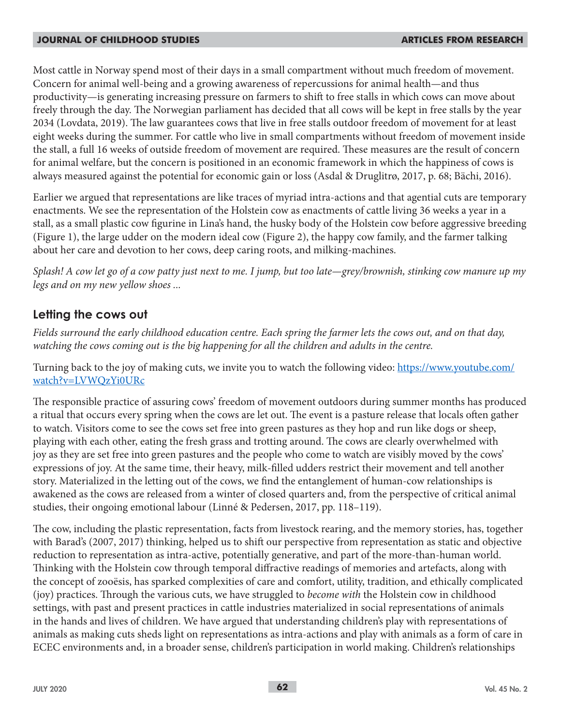Most cattle in Norway spend most of their days in a small compartment without much freedom of movement. Concern for animal well-being and a growing awareness of repercussions for animal health—and thus productivity—is generating increasing pressure on farmers to shift to free stalls in which cows can move about freely through the day. The Norwegian parliament has decided that all cows will be kept in free stalls by the year 2034 (Lovdata, 2019). The law guarantees cows that live in free stalls outdoor freedom of movement for at least eight weeks during the summer. For cattle who live in small compartments without freedom of movement inside the stall, a full 16 weeks of outside freedom of movement are required. These measures are the result of concern for animal welfare, but the concern is positioned in an economic framework in which the happiness of cows is always measured against the potential for economic gain or loss (Asdal & Druglitrø, 2017, p. 68; Bächi, 2016).

Earlier we argued that representations are like traces of myriad intra-actions and that agential cuts are temporary enactments. We see the representation of the Holstein cow as enactments of cattle living 36 weeks a year in a stall, as a small plastic cow figurine in Lina's hand, the husky body of the Holstein cow before aggressive breeding (Figure 1), the large udder on the modern ideal cow (Figure 2), the happy cow family, and the farmer talking about her care and devotion to her cows, deep caring roots, and milking-machines.

*Splash! A cow let go of a cow patty just next to me. I jump, but too late—grey/brownish, stinking cow manure up my legs and on my new yellow shoes ...*

## **Letting the cows out**

*Fields surround the early childhood education centre. Each spring the farmer lets the cows out, and on that day, watching the cows coming out is the big happening for all the children and adults in the centre.*

Turning back to the joy of making cuts, we invite you to watch the following video: https://www.youtube.com/ watch?v=LVWQzYi0URc

The responsible practice of assuring cows' freedom of movement outdoors during summer months has produced a ritual that occurs every spring when the cows are let out. The event is a pasture release that locals often gather to watch. Visitors come to see the cows set free into green pastures as they hop and run like dogs or sheep, playing with each other, eating the fresh grass and trotting around. The cows are clearly overwhelmed with joy as they are set free into green pastures and the people who come to watch are visibly moved by the cows' expressions of joy. At the same time, their heavy, milk-filled udders restrict their movement and tell another story. Materialized in the letting out of the cows, we find the entanglement of human-cow relationships is awakened as the cows are released from a winter of closed quarters and, from the perspective of critical animal studies, their ongoing emotional labour (Linné & Pedersen, 2017, pp. 118–119).

The cow, including the plastic representation, facts from livestock rearing, and the memory stories, has, together with Barad's (2007, 2017) thinking, helped us to shift our perspective from representation as static and objective reduction to representation as intra-active, potentially generative, and part of the more-than-human world. Thinking with the Holstein cow through temporal diffractive readings of memories and artefacts, along with the concept of zooësis, has sparked complexities of care and comfort, utility, tradition, and ethically complicated (joy) practices. Through the various cuts, we have struggled to *become with* the Holstein cow in childhood settings, with past and present practices in cattle industries materialized in social representations of animals in the hands and lives of children. We have argued that understanding children's play with representations of animals as making cuts sheds light on representations as intra-actions and play with animals as a form of care in ECEC environments and, in a broader sense, children's participation in world making. Children's relationships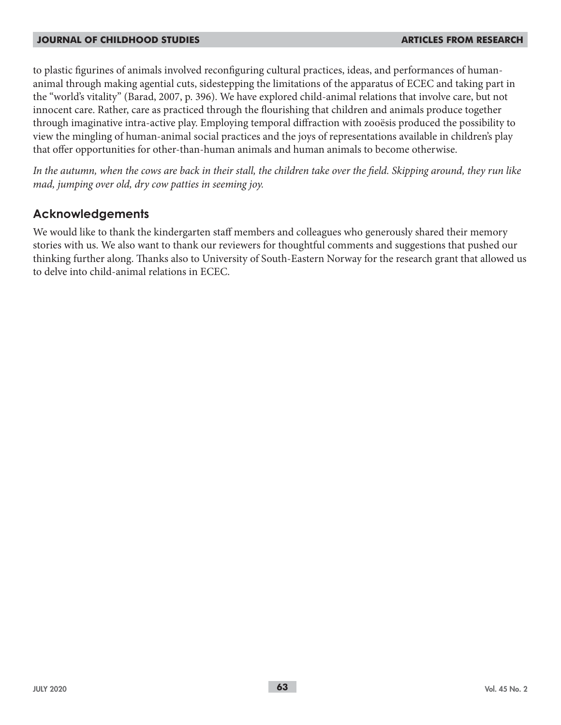to plastic figurines of animals involved reconfiguring cultural practices, ideas, and performances of humananimal through making agential cuts, sidestepping the limitations of the apparatus of ECEC and taking part in the "world's vitality" (Barad, 2007, p. 396). We have explored child-animal relations that involve care, but not innocent care. Rather, care as practiced through the flourishing that children and animals produce together through imaginative intra-active play. Employing temporal diffraction with zooësis produced the possibility to view the mingling of human-animal social practices and the joys of representations available in children's play that offer opportunities for other-than-human animals and human animals to become otherwise.

*In the autumn, when the cows are back in their stall, the children take over the field. Skipping around, they run like mad, jumping over old, dry cow patties in seeming joy.*

## **Acknowledgements**

We would like to thank the kindergarten staff members and colleagues who generously shared their memory stories with us. We also want to thank our reviewers for thoughtful comments and suggestions that pushed our thinking further along. Thanks also to University of South-Eastern Norway for the research grant that allowed us to delve into child-animal relations in ECEC.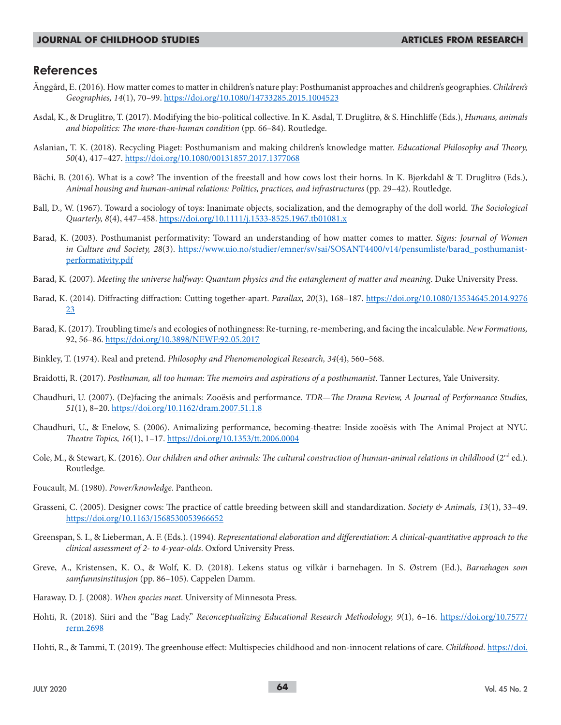### **References**

- Änggård, E. (2016). How matter comes to matter in children's nature play: Posthumanist approaches and children's geographies. *Children's Geographies, 14*(1), 70–99. https://doi.org/10.1080/14733285.2015.1004523
- Asdal, K., & Druglitrø, T. (2017). Modifying the bio-political collective. In K. Asdal, T. Druglitrø, & S. Hinchliffe (Eds.), *Humans, animals and biopolitics: The more-than-human condition* (pp. 66–84). Routledge.
- Aslanian, T. K. (2018). Recycling Piaget: Posthumanism and making children's knowledge matter. *Educational Philosophy and Theory, 50*(4), 417–427. https://doi.org/10.1080/00131857.2017.1377068
- Bächi, B. (2016). What is a cow? The invention of the freestall and how cows lost their horns. In K. Bjørkdahl & T. Druglitrø (Eds.), *Animal housing and human-animal relations: Politics, practices, and infrastructures* (pp. 29–42). Routledge.
- Ball, D., W. (1967). Toward a sociology of toys: Inanimate objects, socialization, and the demography of the doll world. *The Sociological Quarterly, 8*(4), 447–458. https://doi.org/10.1111/j.1533-8525.1967.tb01081.x
- Barad, K. (2003). Posthumanist performativity: Toward an understanding of how matter comes to matter. *Signs: Journal of Women in Culture and Society, 28*(3). https://www.uio.no/studier/emner/sv/sai/SOSANT4400/v14/pensumliste/barad\_posthumanistperformativity.pdf
- Barad, K. (2007). *Meeting the universe halfway: Quantum physics and the entanglement of matter and meaning*. Duke University Press.
- Barad, K. (2014). Diffracting diffraction: Cutting together-apart. *Parallax, 20*(3), 168–187. https://doi.org/10.1080/13534645.2014.9276 23
- Barad, K. (2017). Troubling time/s and ecologies of nothingness: Re-turning, re-membering, and facing the incalculable. *New Formations,* 92, 56–86. https://doi.org/10.3898/NEWF:92.05.2017
- Binkley, T. (1974). Real and pretend. *Philosophy and Phenomenological Research, 34*(4), 560–568.
- Braidotti, R. (2017). *Posthuman, all too human: The memoirs and aspirations of a posthumanist*. Tanner Lectures, Yale University.
- Chaudhuri, U. (2007). (De)facing the animals: Zooësis and performance. *TDR—The Drama Review, A Journal of Performance Studies, 51*(1), 8–20. https://doi.org/10.1162/dram.2007.51.1.8
- Chaudhuri, U., & Enelow, S. (2006). Animalizing performance, becoming-theatre: Inside zooësis with The Animal Project at NYU. *Theatre Topics, 16*(1), 1–17. https://doi.org/10.1353/tt.2006.0004
- Cole, M., & Stewart, K. (2016). *Our children and other animals: The cultural construction of human-animal relations in childhood* (2<sup>nd</sup> ed.). Routledge.
- Foucault, M. (1980). *Power/knowledge*. Pantheon.
- Grasseni, C. (2005). Designer cows: The practice of cattle breeding between skill and standardization. *Society & Animals, 13*(1), 33–49. https://doi.org/10.1163/1568530053966652
- Greenspan, S. I., & Lieberman, A. F. (Eds.). (1994). *Representational elaboration and differentiation: A clinical-quantitative approach to the clinical assessment of 2- to 4-year-olds*. Oxford University Press.
- Greve, A., Kristensen, K. O., & Wolf, K. D. (2018). Lekens status og vilkår i barnehagen. In S. Østrem (Ed.), *Barnehagen som samfunnsinstitusjon* (pp. 86–105). Cappelen Damm.
- Haraway, D. J. (2008). *When species meet*. University of Minnesota Press.
- Hohti, R. (2018). Siiri and the "Bag Lady." *Reconceptualizing Educational Research Methodology, 9*(1), 6–16. https://doi.org/10.7577/ rerm.2698
- Hohti, R., & Tammi, T. (2019). The greenhouse effect: Multispecies childhood and non-innocent relations of care. *Childhood*. https://doi.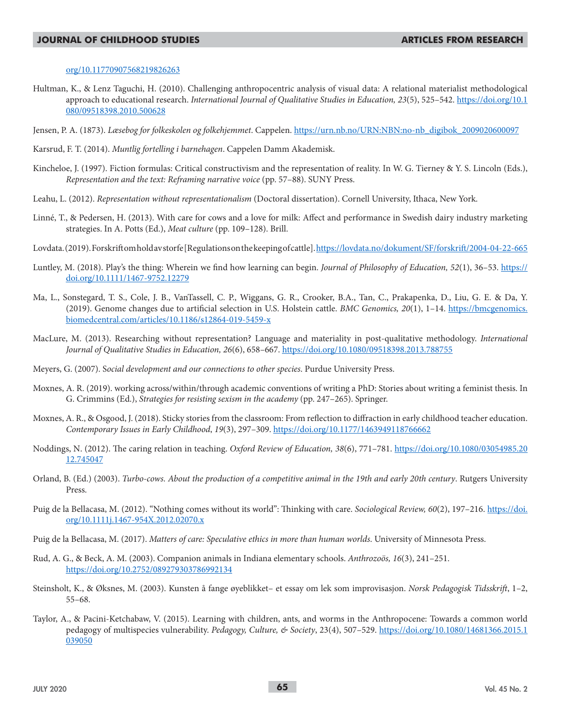#### org/10.11770907568219826263

- Hultman, K., & Lenz Taguchi, H. (2010). Challenging anthropocentric analysis of visual data: A relational materialist methodological approach to educational research. *International Journal of Qualitative Studies in Education, 23*(5), 525–542. https://doi.org/10.1 080/09518398.2010.500628
- Jensen, P. A. (1873). *Læsebog for folkeskolen og folkehjemmet*. Cappelen. https://urn.nb.no/URN:NBN:no-nb\_digibok\_2009020600097
- Karsrud, F. T. (2014). *Muntlig fortelling i barnehagen*. Cappelen Damm Akademisk.
- Kincheloe, J. (1997). Fiction formulas: Critical constructivism and the representation of reality. In W. G. Tierney & Y. S. Lincoln (Eds.), *Representation and the text: Reframing narrative voice* (pp. 57–88). SUNY Press.
- Leahu, L. (2012). *Representation without representationalism* (Doctoral dissertation). Cornell University, Ithaca, New York.
- Linné, T., & Pedersen, H. (2013). With care for cows and a love for milk: Affect and performance in Swedish dairy industry marketing strategies. In A. Potts (Ed.), *Meat culture* (pp. 109–128). Brill.
- Lovdata. (2019). Forskrift om hold av storfe [Regulations on the keeping of cattle]. https://lovdata.no/dokument/SF/forskrift/2004-04-22-665
- Luntley, M. (2018). Play's the thing: Wherein we find how learning can begin. *Journal of Philosophy of Education*, 52(1), 36–53. https:// doi.org/10.1111/1467-9752.12279
- Ma, L., Sonstegard, T. S., Cole, J. B., VanTassell, C. P., Wiggans, G. R., Crooker, B.A., Tan, C., Prakapenka, D., Liu, G. E. & Da, Y. (2019). Genome changes due to artificial selection in U.S. Holstein cattle. *BMC Genomics, 20*(1), 1–14. https://bmcgenomics. biomedcentral.com/articles/10.1186/s12864-019-5459-x
- MacLure, M. (2013). Researching without representation? Language and materiality in post-qualitative methodology. *International Journal of Qualitative Studies in Education, 26*(6), 658–667. https://doi.org/10.1080/09518398.2013.788755
- Meyers, G. (2007). S*ocial development and our connections to other species*. Purdue University Press.
- Moxnes, A. R. (2019). working across/within/through academic conventions of writing a PhD: Stories about writing a feminist thesis. In G. Crimmins (Ed.), *Strategies for resisting sexism in the academy* (pp. 247–265). Springer.
- Moxnes, A. R., & Osgood, J. (2018). Sticky stories from the classroom: From reflection to diffraction in early childhood teacher education. *Contemporary Issues in Early Childhood*, *19*(3), 297–309. https://doi.org/10.1177/1463949118766662
- Noddings, N. (2012). The caring relation in teaching. *Oxford Review of Education, 38*(6), 771–781. https://doi.org/10.1080/03054985.20 12.745047
- Orland, B. (Ed.) (2003). *Turbo-cows. About the production of a competitive animal in the 19th and early 20th century*. Rutgers University Press.
- Puig de la Bellacasa, M. (2012). "Nothing comes without its world": Thinking with care. *Sociological Review, 60*(2), 197–216. https://doi. org/10.1111j.1467-954X.2012.02070.x
- Puig de la Bellacasa, M. (2017). *Matters of care: Speculative ethics in more than human worlds*. University of Minnesota Press.
- Rud, A. G., & Beck, A. M. (2003). Companion animals in Indiana elementary schools. *Anthrozoös, 16*(3), 241–251. https://doi.org/10.2752/089279303786992134
- Steinsholt, K., & Øksnes, M. (2003). Kunsten å fange øyeblikket– et essay om lek som improvisasjon. *Norsk Pedagogisk Tidsskrift*, 1–2, 55–68.
- Taylor, A., & Pacini-Ketchabaw, V. (2015). Learning with children, ants, and worms in the Anthropocene: Towards a common world pedagogy of multispecies vulnerability. *Pedagogy, Culture, & Society*, 23(4), 507–529. https://doi.org/10.1080/14681366.2015.1 039050